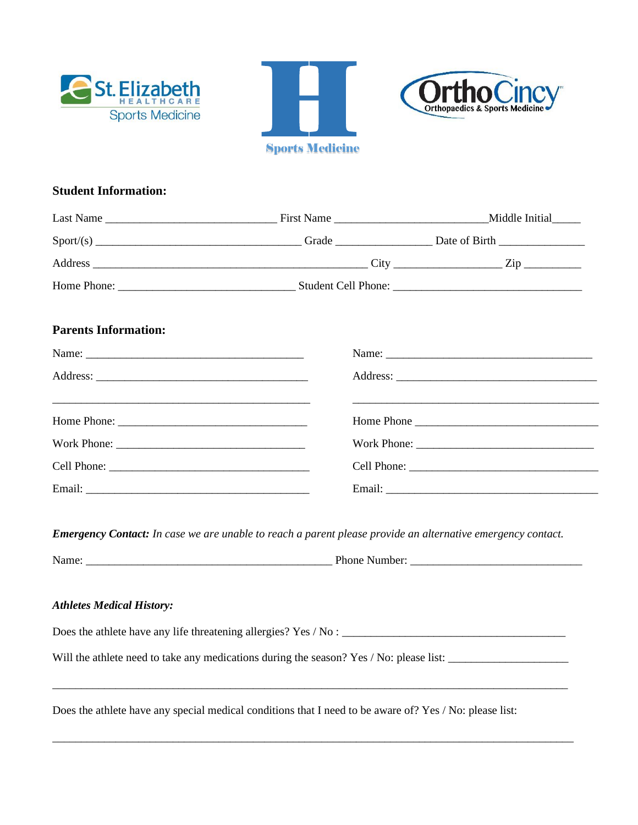





## **Student Information:**

| <b>Parents Information:</b> |                                                                                                                                                                                                                                      |  |
|-----------------------------|--------------------------------------------------------------------------------------------------------------------------------------------------------------------------------------------------------------------------------------|--|
|                             |                                                                                                                                                                                                                                      |  |
|                             |                                                                                                                                                                                                                                      |  |
|                             | <u> 1999 - Jan Alexandro de Alexandro de Alexandro de Alexandro de Alexandro de Alexandro de Alexandro de Alexandro de Alexandro de Alexandro de Alexandro de Alexandro de Alexandro de Alexandro de Alexandro de Alexandro de A</u> |  |
|                             |                                                                                                                                                                                                                                      |  |
|                             |                                                                                                                                                                                                                                      |  |
|                             |                                                                                                                                                                                                                                      |  |

*Emergency Contact: In case we are unable to reach a parent please provide an alternative emergency contact.*

| Name:                | Phone<br>Number: |
|----------------------|------------------|
| $\sim$ $\sim$ $\sim$ |                  |

## *Athletes Medical History:*

Does the athlete have any life threatening allergies? Yes / No : \_\_\_\_\_\_\_\_\_\_\_\_\_\_\_\_\_\_\_\_\_\_\_\_\_\_\_\_\_\_\_\_\_\_\_\_\_\_\_ Will the athlete need to take any medications during the season? Yes / No: please list: \_\_\_\_\_\_\_\_\_\_\_\_\_\_\_\_\_\_\_\_\_

\_\_\_\_\_\_\_\_\_\_\_\_\_\_\_\_\_\_\_\_\_\_\_\_\_\_\_\_\_\_\_\_\_\_\_\_\_\_\_\_\_\_\_\_\_\_\_\_\_\_\_\_\_\_\_\_\_\_\_\_\_\_\_\_\_\_\_\_\_\_\_\_\_\_\_\_\_\_\_\_\_\_\_\_\_\_\_\_\_\_

\_\_\_\_\_\_\_\_\_\_\_\_\_\_\_\_\_\_\_\_\_\_\_\_\_\_\_\_\_\_\_\_\_\_\_\_\_\_\_\_\_\_\_\_\_\_\_\_\_\_\_\_\_\_\_\_\_\_\_\_\_\_\_\_\_\_\_\_\_\_\_\_\_\_\_\_\_\_\_\_\_\_\_\_\_\_\_\_\_\_\_

Does the athlete have any special medical conditions that I need to be aware of? Yes / No: please list: